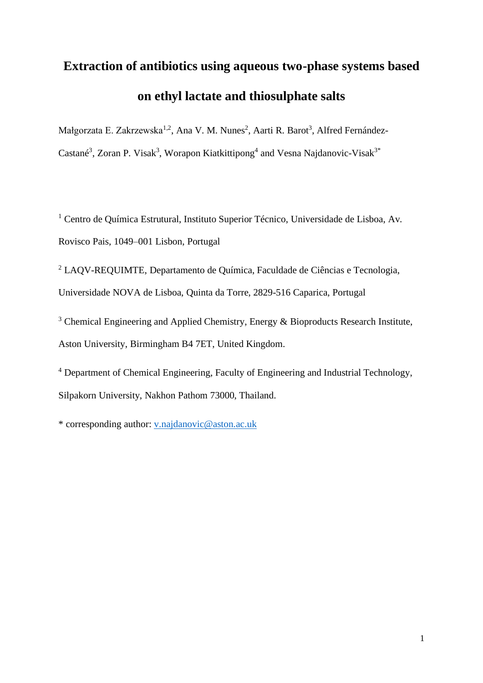# **Extraction of antibiotics using aqueous two-phase systems based on ethyl lactate and thiosulphate salts**

Małgorzata E. Zakrzewska<sup>1,2</sup>, Ana V. M. Nunes<sup>2</sup>, Aarti R. Barot<sup>3</sup>, Alfred Fernández-Castané<sup>3</sup>, Zoran P. Visak<sup>3</sup>, Worapon Kiatkittipong<sup>4</sup> and Vesna Najdanovic-Visak<sup>3\*</sup>

<sup>1</sup> Centro de Ouímica Estrutural, Instituto Superior Técnico, Universidade de Lisboa, Av. Rovisco Pais, 1049–001 Lisbon, Portugal

<sup>2</sup> LAQV-REQUIMTE, Departamento de Química, Faculdade de Ciências e Tecnologia, Universidade NOVA de Lisboa, Quinta da Torre, 2829-516 Caparica, Portugal

<sup>3</sup> Chemical Engineering and Applied Chemistry, Energy & Bioproducts Research Institute, Aston University, Birmingham B4 7ET, United Kingdom.

<sup>4</sup> Department of Chemical Engineering, Faculty of Engineering and Industrial Technology, Silpakorn University, Nakhon Pathom 73000, Thailand.

\* corresponding author: [v.najdanovic@aston.ac.uk](mailto:v.najdanovic@aston.ac.uk)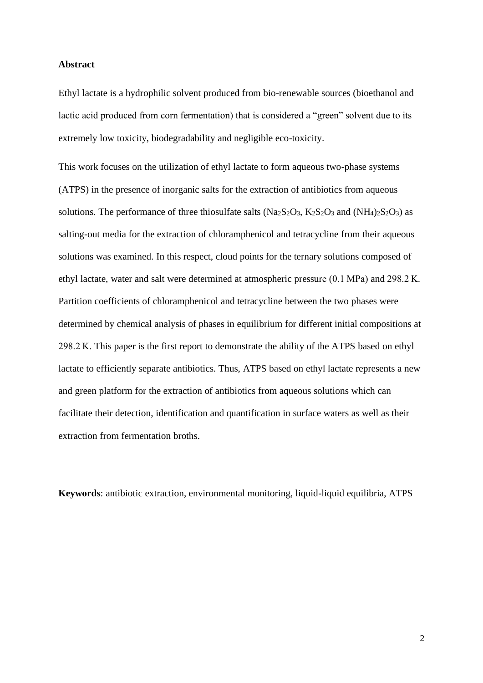#### **Abstract**

Ethyl lactate is a hydrophilic solvent produced from bio-renewable sources (bioethanol and lactic acid produced from corn fermentation) that is considered a "green" solvent due to its extremely low toxicity, biodegradability and negligible eco-toxicity.

This work focuses on the utilization of ethyl lactate to form aqueous two-phase systems (ATPS) in the presence of inorganic salts for the extraction of antibiotics from aqueous solutions. The performance of three thiosulfate salts  $(Na_2S_2O_3, K_2S_2O_3$  and  $(NH_4)_2S_2O_3$  as salting-out media for the extraction of chloramphenicol and tetracycline from their aqueous solutions was examined. In this respect, cloud points for the ternary solutions composed of ethyl lactate, water and salt were determined at atmospheric pressure (0.1 MPa) and 298.2 K. Partition coefficients of chloramphenicol and tetracycline between the two phases were determined by chemical analysis of phases in equilibrium for different initial compositions at 298.2 K. This paper is the first report to demonstrate the ability of the ATPS based on ethyl lactate to efficiently separate antibiotics. Thus, ATPS based on ethyl lactate represents a new and green platform for the extraction of antibiotics from aqueous solutions which can facilitate their detection, identification and quantification in surface waters as well as their extraction from fermentation broths.

**Keywords**: antibiotic extraction, environmental monitoring, liquid-liquid equilibria, ATPS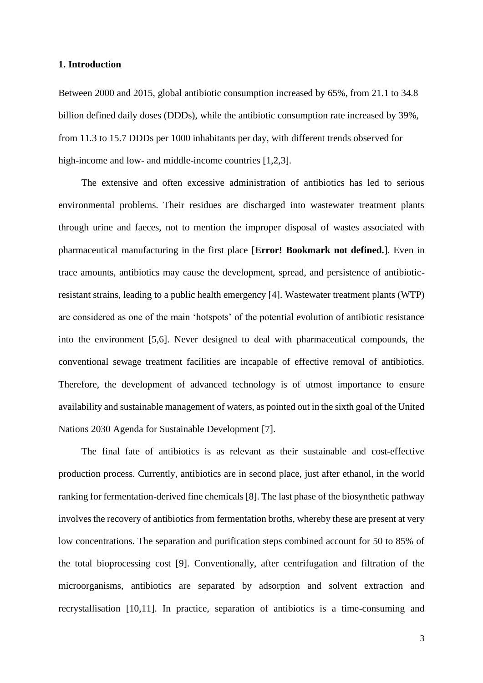#### **1. Introduction**

Between 2000 and 2015, global antibiotic consumption increased by 65%, from 21.1 to 34.8 billion defined daily doses (DDDs), while the antibiotic consumption rate increased by 39%, from 11.3 to 15.7 DDDs per 1000 inhabitants per day, with different trends observed for high-income and low- and middle-income countries [1,2,3].

The extensive and often excessive administration of antibiotics has led to serious environmental problems. Their residues are discharged into wastewater treatment plants through urine and faeces, not to mention the improper disposal of wastes associated with pharmaceutical manufacturing in the first place [**Error! Bookmark not defined.**]. Even in trace amounts, antibiotics may cause the development, spread, and persistence of antibioticresistant strains, leading to a public health emergency [4]. Wastewater treatment plants (WTP) are considered as one of the main 'hotspots' of the potential evolution of antibiotic resistance into the environment [5,6]. Never designed to deal with pharmaceutical compounds, the conventional sewage treatment facilities are incapable of effective removal of antibiotics. Therefore, the development of advanced technology is of utmost importance to ensure availability and sustainable management of waters, as pointed out in the sixth goal of the United Nations 2030 Agenda for Sustainable Development [7].

The final fate of antibiotics is as relevant as their sustainable and cost-effective production process. Currently, antibiotics are in second place, just after ethanol, in the world ranking for fermentation-derived fine chemicals [8]. The last phase of the biosynthetic pathway involves the recovery of antibiotics from fermentation broths, whereby these are present at very low concentrations. The separation and purification steps combined account for 50 to 85% of the total bioprocessing cost [9]. Conventionally, after centrifugation and filtration of the microorganisms, antibiotics are separated by adsorption and solvent extraction and recrystallisation [10,11]. In practice, separation of antibiotics is a time-consuming and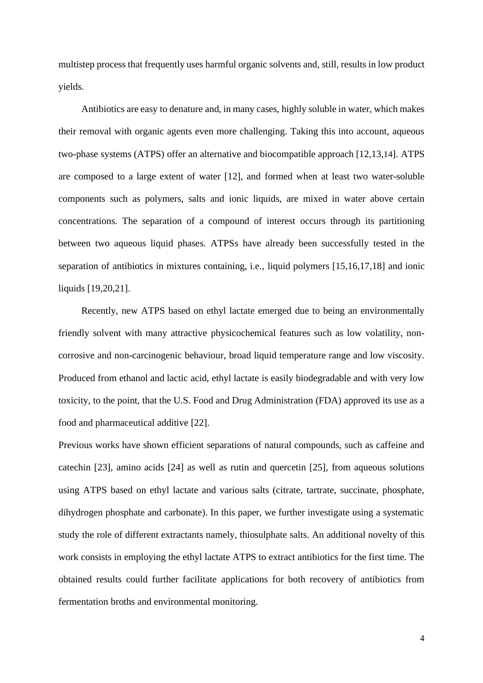multistep process that frequently uses harmful organic solvents and, still, results in low product yields.

<span id="page-3-0"></span>Antibiotics are easy to denature and, in many cases, highly soluble in water, which makes their removal with organic agents even more challenging. Taking this into account, aqueous two-phase systems (ATPS) offer an alternative and biocompatible approach [12,13,14]. ATPS are composed to a large extent of water [\[12\]](#page-3-0), and formed when at least two water-soluble components such as polymers, salts and ionic liquids, are mixed in water above certain concentrations. The separation of a compound of interest occurs through its partitioning between two aqueous liquid phases. ATPSs have already been successfully tested in the separation of antibiotics in mixtures containing, i.e., liquid polymers [15,16,17,18] and ionic liquids [19,20,21].

<span id="page-3-1"></span>Recently, new ATPS based on ethyl lactate emerged due to being an environmentally friendly solvent with many attractive physicochemical features such as low volatility, noncorrosive and non-carcinogenic behaviour, broad liquid temperature range and low viscosity. Produced from ethanol and lactic acid, ethyl lactate is easily biodegradable and with very low toxicity, to the point, that the U.S. Food and Drug Administration (FDA) approved its use as a food and pharmaceutical additive [22].

Previous works have shown efficient separations of natural compounds, such as caffeine and catechin [23], amino acids [24] as well as rutin and quercetin [25], from aqueous solutions using ATPS based on ethyl lactate and various salts (citrate, tartrate, succinate, phosphate, dihydrogen phosphate and carbonate). In this paper, we further investigate using a systematic study the role of different extractants namely, thiosulphate salts. An additional novelty of this work consists in employing the ethyl lactate ATPS to extract antibiotics for the first time. The obtained results could further facilitate applications for both recovery of antibiotics from fermentation broths and environmental monitoring.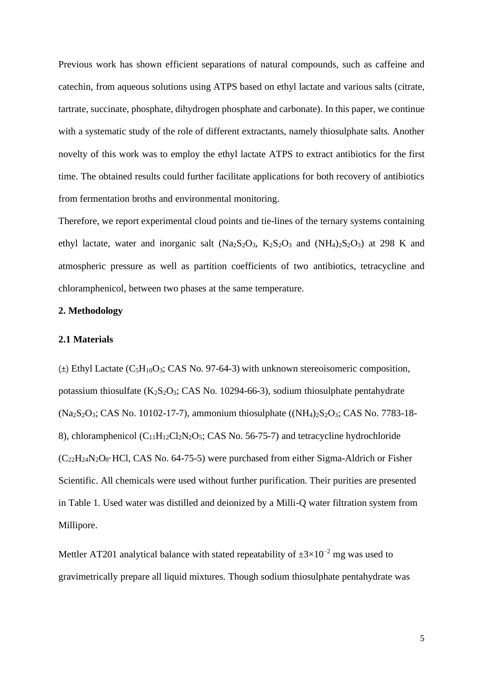Previous work has shown efficient separations of natural compounds, such as caffeine and catechin, from aqueous solutions using ATPS based on ethyl lactate and various salts (citrate, tartrate, succinate, phosphate, dihydrogen phosphate and carbonate). In this paper, we continue with a systematic study of the role of different extractants, namely thiosulphate salts. Another novelty of this work was to employ the ethyl lactate ATPS to extract antibiotics for the first time. The obtained results could further facilitate applications for both recovery of antibiotics from fermentation broths and environmental monitoring.

Therefore, we report experimental cloud points and tie-lines of the ternary systems containing ethyl lactate, water and inorganic salt  $(Na_2S_2O_3, K_2S_2O_3$  and  $(NH_4)_2S_2O_3$  at 298 K and atmospheric pressure as well as partition coefficients of two antibiotics, tetracycline and chloramphenicol, between two phases at the same temperature.

#### **2. Methodology**

#### **2.1 Materials**

 $(\pm)$  Ethyl Lactate (C<sub>5</sub>H<sub>10</sub>O<sub>3</sub>; CAS No. 97-64-3) with unknown stereoisomeric composition, potassium thiosulfate  $(K_2S_2O_3; CAS$  No. 10294-66-3), sodium thiosulphate pentahydrate  $(Na_2S_2O_3; CAS No. 10102-17-7)$ , ammonium thiosulphate  $((NH_4)_2S_2O_3; CAS No. 7783-18-$ 8), chloramphenicol  $(C_{11}H_{12}Cl_2N_2O_5$ ; CAS No. 56-75-7) and tetracycline hydrochloride  $(C_{22}H_{24}N_2O_8 \cdot HCl$ , CAS No. 64-75-5) were purchased from either Sigma-Aldrich or Fisher Scientific. All chemicals were used without further purification. Their purities are presented in Table 1. Used water was distilled and deionized by a Milli-Q water filtration system from Millipore.

Mettler AT201 analytical balance with stated repeatability of  $\pm 3 \times 10^{-2}$  mg was used to gravimetrically prepare all liquid mixtures. Though sodium thiosulphate pentahydrate was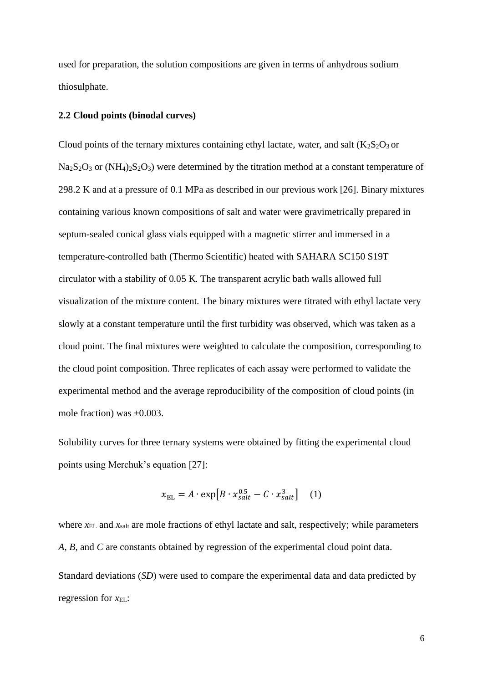used for preparation, the solution compositions are given in terms of anhydrous sodium thiosulphate.

# **2.2 Cloud points (binodal curves)**

<span id="page-5-0"></span>Cloud points of the ternary mixtures containing ethyl lactate, water, and salt  $(K_2S_2O_3$  or  $Na<sub>2</sub>S<sub>2</sub>O<sub>3</sub>$  or  $(NH<sub>4</sub>)<sub>2</sub>S<sub>2</sub>O<sub>3</sub>$  were determined by the titration method at a constant temperature of 298.2 K and at a pressure of 0.1 MPa as described in our previous work [26]. Binary mixtures containing various known compositions of salt and water were gravimetrically prepared in septum-sealed conical glass vials equipped with a magnetic stirrer and immersed in a temperature-controlled bath (Thermo Scientific) heated with SAHARA SC150 S19T circulator with a stability of 0.05 K. The transparent acrylic bath walls allowed full visualization of the mixture content. The binary mixtures were titrated with ethyl lactate very slowly at a constant temperature until the first turbidity was observed, which was taken as a cloud point. The final mixtures were weighted to calculate the composition, corresponding to the cloud point composition. Three replicates of each assay were performed to validate the experimental method and the average reproducibility of the composition of cloud points (in mole fraction) was ±0.003.

Solubility curves for three ternary systems were obtained by fitting the experimental cloud points using Merchuk's equation [27]:

$$
x_{\rm EL} = A \cdot \exp[B \cdot x_{\rm salt}^{0.5} - C \cdot x_{\rm salt}^3]
$$
 (1)

where  $x<sub>EL</sub>$  and  $x<sub>salt</sub>$  are mole fractions of ethyl lactate and salt, respectively; while parameters *A*, *B*, and *C* are constants obtained by regression of the experimental cloud point data. Standard deviations (*SD*) were used to compare the experimental data and data predicted by regression for  $x_{EL}$ :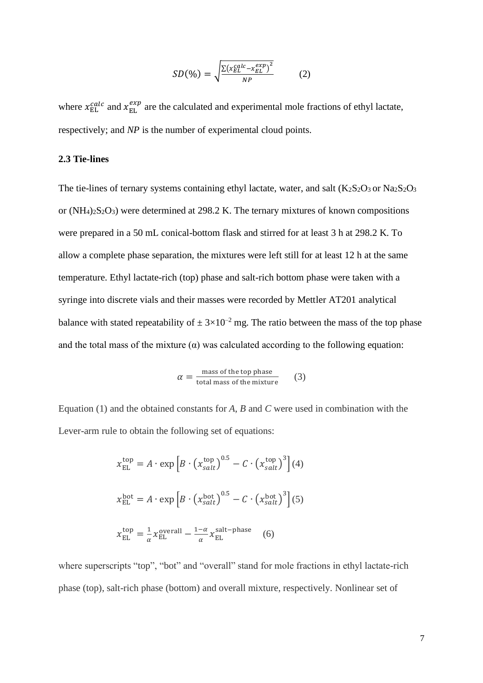$$
SD(\%) = \sqrt{\frac{\Sigma(x_{EL}^{calc} - x_{EL}^{exp})^2}{NP}}
$$
 (2)

where  $x_{\text{EL}}^{calc}$  and  $x_{\text{EL}}^{exp}$  are the calculated and experimental mole fractions of ethyl lactate, respectively; and *NP* is the number of experimental cloud points.

# **2.3 Tie-lines**

The tie-lines of ternary systems containing ethyl lactate, water, and salt  $(K_2S_2O_3$  or  $Na_2S_2O_3$ or  $(NH_4)_2S_2O_3$  were determined at 298.2 K. The ternary mixtures of known compositions were prepared in a 50 mL conical-bottom flask and stirred for at least 3 h at 298.2 K. To allow a complete phase separation, the mixtures were left still for at least 12 h at the same temperature. Ethyl lactate-rich (top) phase and salt-rich bottom phase were taken with a syringe into discrete vials and their masses were recorded by Mettler AT201 analytical balance with stated repeatability of  $\pm 3 \times 10^{-2}$  mg. The ratio between the mass of the top phase and the total mass of the mixture  $(\alpha)$  was calculated according to the following equation:

$$
\alpha = \frac{\text{mass of the top phase}}{\text{total mass of the mixture}} \qquad (3)
$$

Equation (1) and the obtained constants for *A*, *B* and *C* were used in combination with the Lever-arm rule to obtain the following set of equations:

$$
x_{\rm EL}^{\rm top} = A \cdot \exp\left[B \cdot \left(x_{\rm salt}^{\rm top}\right)^{0.5} - C \cdot \left(x_{\rm salt}^{\rm top}\right)^{3}\right](4)
$$
  

$$
x_{\rm EL}^{\rm bot} = A \cdot \exp\left[B \cdot \left(x_{\rm salt}^{\rm bot}\right)^{0.5} - C \cdot \left(x_{\rm salt}^{\rm bot}\right)^{3}\right](5)
$$
  

$$
x_{\rm EL}^{\rm top} = \frac{1}{\alpha} x_{\rm EL}^{\rm overall} - \frac{1-\alpha}{\alpha} x_{\rm EL}^{\rm salt-phase} \qquad (6)
$$

where superscripts "top", "bot" and "overall" stand for mole fractions in ethyl lactate-rich phase (top), salt-rich phase (bottom) and overall mixture, respectively. Nonlinear set of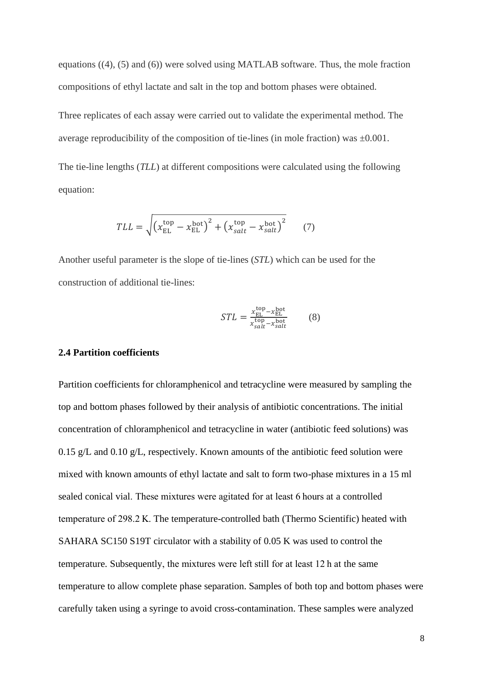equations ((4), (5) and (6)) were solved using MATLAB software. Thus, the mole fraction compositions of ethyl lactate and salt in the top and bottom phases were obtained.

Three replicates of each assay were carried out to validate the experimental method. The average reproducibility of the composition of tie-lines (in mole fraction) was  $\pm 0.001$ .

The tie-line lengths (*TLL*) at different compositions were calculated using the following equation:

$$
TLL = \sqrt{\left(x_{\rm EL}^{\rm top} - x_{\rm EL}^{\rm bot}\right)^2 + \left(x_{salt}^{\rm top} - x_{salt}^{\rm bot}\right)^2} \tag{7}
$$

Another useful parameter is the slope of tie-lines (*STL*) which can be used for the construction of additional tie-lines:

$$
STL = \frac{x_{\rm EL}^{\rm top} - x_{\rm EL}^{\rm bot}}{x_{\rm salt}^{\rm top} - x_{\rm salt}^{\rm bot}} \tag{8}
$$

# **2.4 Partition coefficients**

Partition coefficients for chloramphenicol and tetracycline were measured by sampling the top and bottom phases followed by their analysis of antibiotic concentrations. The initial concentration of chloramphenicol and tetracycline in water (antibiotic feed solutions) was 0.15 g/L and 0.10 g/L, respectively. Known amounts of the antibiotic feed solution were mixed with known amounts of ethyl lactate and salt to form two-phase mixtures in a 15 ml sealed conical vial. These mixtures were agitated for at least 6 hours at a controlled temperature of 298.2 K. The temperature-controlled bath (Thermo Scientific) heated with SAHARA SC150 S19T circulator with a stability of 0.05 K was used to control the temperature. Subsequently, the mixtures were left still for at least 12 h at the same temperature to allow complete phase separation. Samples of both top and bottom phases were carefully taken using a syringe to avoid cross-contamination. These samples were analyzed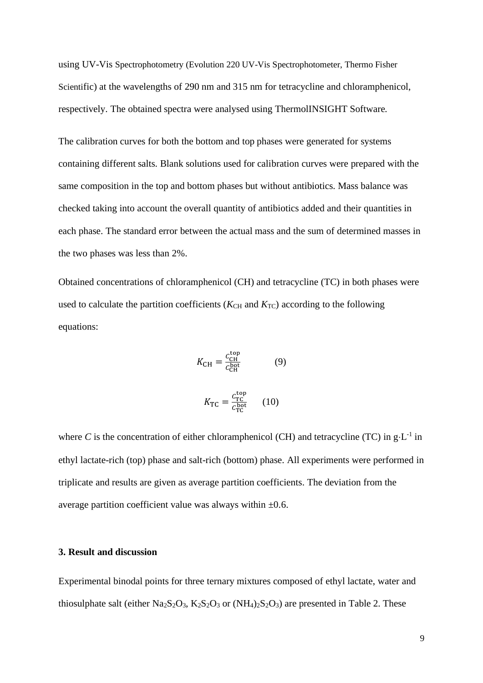using UV-Vis Spectrophotometry (Evolution 220 UV-Vis Spectrophotometer, Thermo Fisher Scientific) at the wavelengths of 290 nm and 315 nm for tetracycline and chloramphenicol, respectively. The obtained spectra were analysed using ThermolINSIGHT Software.

The calibration curves for both the bottom and top phases were generated for systems containing different salts. Blank solutions used for calibration curves were prepared with the same composition in the top and bottom phases but without antibiotics. Mass balance was checked taking into account the overall quantity of antibiotics added and their quantities in each phase. The standard error between the actual mass and the sum of determined masses in the two phases was less than 2%.

Obtained concentrations of chloramphenicol (CH) and tetracycline (TC) in both phases were used to calculate the partition coefficients ( $K<sub>CH</sub>$  and  $K<sub>TC</sub>$ ) according to the following equations:

$$
K_{\rm CH} = \frac{c_{\rm CH}^{\rm top}}{c_{\rm CH}^{\rm bot}} \tag{9}
$$

$$
K_{\rm TC} = \frac{c_{\rm TC}^{\rm top}}{c_{\rm TC}^{\rm bot}} \qquad (10)
$$

where C is the concentration of either chloramphenicol (CH) and tetracycline (TC) in  $g \cdot L^{-1}$  in ethyl lactate-rich (top) phase and salt-rich (bottom) phase. All experiments were performed in triplicate and results are given as average partition coefficients. The deviation from the average partition coefficient value was always within  $\pm 0.6$ .

# **3. Result and discussion**

Experimental binodal points for three ternary mixtures composed of ethyl lactate, water and thiosulphate salt (either  $Na_2S_2O_3$ ,  $K_2S_2O_3$  or  $(NH_4)_2S_2O_3$ ) are presented in Table 2. These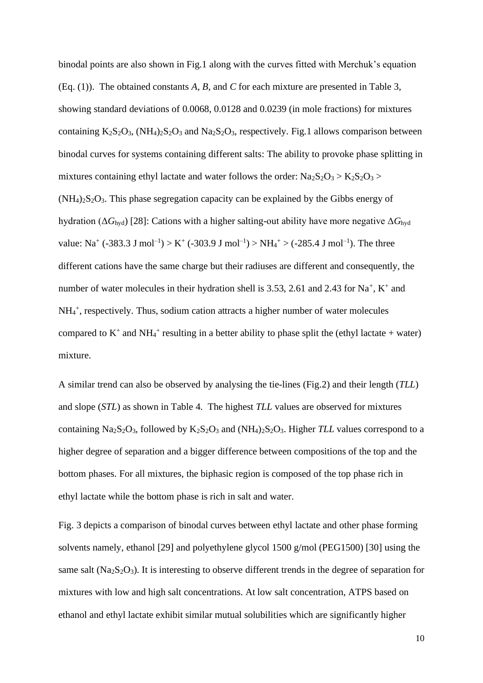binodal points are also shown in Fig.1 along with the curves fitted with Merchuk's equation (Eq. (1)). The obtained constants *A*, *B*, and *C* for each mixture are presented in Table 3, showing standard deviations of 0.0068, 0.0128 and 0.0239 (in mole fractions) for mixtures containing  $K_2S_2O_3$ ,  $(NH_4)_2S_2O_3$  and  $Na_2S_2O_3$ , respectively. Fig.1 allows comparison between binodal curves for systems containing different salts: The ability to provoke phase splitting in mixtures containing ethyl lactate and water follows the order:  $\text{Na}_2\text{S}_2\text{O}_3$  >  $\text{K}_2\text{S}_2\text{O}_3$  >  $(NH<sub>4</sub>)<sub>2</sub>S<sub>2</sub>O<sub>3</sub>$ . This phase segregation capacity can be explained by the Gibbs energy of hydration (Δ*G*hyd) [28]: Cations with a higher salting-out ability have more negative Δ*G*hyd value: Na<sup>+</sup> (-383.3 J mol<sup>-1</sup>) > K<sup>+</sup> (-303.9 J mol<sup>-1</sup>) > NH<sub>4</sub><sup>+</sup> > (-285.4 J mol<sup>-1</sup>). The three different cations have the same charge but their radiuses are different and consequently, the number of water molecules in their hydration shell is 3.53, 2.61 and 2.43 for  $Na^+$ ,  $K^+$  and NH<sub>4</sub><sup>+</sup>, respectively. Thus, sodium cation attracts a higher number of water molecules compared to  $K^+$  and  $NH_4^+$  resulting in a better ability to phase split the (ethyl lactate + water) mixture.

A similar trend can also be observed by analysing the tie-lines (Fig.2) and their length (*TLL*) and slope (*STL*) as shown in Table 4. The highest *TLL* values are observed for mixtures containing Na<sub>2</sub>S<sub>2</sub>O<sub>3</sub>, followed by K<sub>2</sub>S<sub>2</sub>O<sub>3</sub> and (NH<sub>4</sub>)<sub>2</sub>S<sub>2</sub>O<sub>3</sub>. Higher *TLL* values correspond to a higher degree of separation and a bigger difference between compositions of the top and the bottom phases. For all mixtures, the biphasic region is composed of the top phase rich in ethyl lactate while the bottom phase is rich in salt and water.

<span id="page-9-1"></span><span id="page-9-0"></span>Fig. 3 depicts a comparison of binodal curves between ethyl lactate and other phase forming solvents namely, ethanol [29] and polyethylene glycol 1500 g/mol (PEG1500) [30] using the same salt  $(Na<sub>2</sub>S<sub>2</sub>O<sub>3</sub>)$ . It is interesting to observe different trends in the degree of separation for mixtures with low and high salt concentrations. At low salt concentration, ATPS based on ethanol and ethyl lactate exhibit similar mutual solubilities which are significantly higher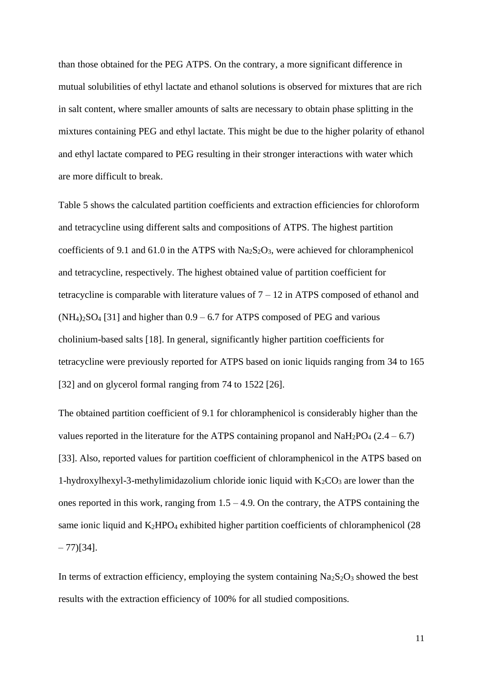than those obtained for the PEG ATPS. On the contrary, a more significant difference in mutual solubilities of ethyl lactate and ethanol solutions is observed for mixtures that are rich in salt content, where smaller amounts of salts are necessary to obtain phase splitting in the mixtures containing PEG and ethyl lactate. This might be due to the higher polarity of ethanol and ethyl lactate compared to PEG resulting in their stronger interactions with water which are more difficult to break.

Table 5 shows the calculated partition coefficients and extraction efficiencies for chloroform and tetracycline using different salts and compositions of ATPS. The highest partition coefficients of 9.1 and 61.0 in the ATPS with  $Na<sub>2</sub>S<sub>2</sub>O<sub>3</sub>$ , were achieved for chloramphenicol and tetracycline, respectively. The highest obtained value of partition coefficient for tetracycline is comparable with literature values of  $7 - 12$  in ATPS composed of ethanol and  $(NH_4)_2SO_4$  [31] and higher than  $0.9 - 6.7$  for ATPS composed of PEG and various cholinium-based salts [\[18\]](#page-3-1). In general, significantly higher partition coefficients for tetracycline were previously reported for ATPS based on ionic liquids ranging from 34 to 165 [32] and on glycerol formal ranging from 74 to 1522 [\[26\]](#page-5-0).

The obtained partition coefficient of 9.1 for chloramphenicol is considerably higher than the values reported in the literature for the ATPS containing propanol and  $NaH_2PO_4$  (2.4 – 6.7) [33]. Also, reported values for partition coefficient of chloramphenicol in the ATPS based on 1-hydroxylhexyl-3-methylimidazolium chloride ionic liquid with  $K_2CO_3$  are lower than the ones reported in this work, ranging from  $1.5 - 4.9$ . On the contrary, the ATPS containing the same ionic liquid and  $K_2HPO_4$  exhibited higher partition coefficients of chloramphenicol (28)  $-77$ )[34].

In terms of extraction efficiency, employing the system containing  $Na<sub>2</sub>S<sub>2</sub>O<sub>3</sub>$  showed the best results with the extraction efficiency of 100% for all studied compositions.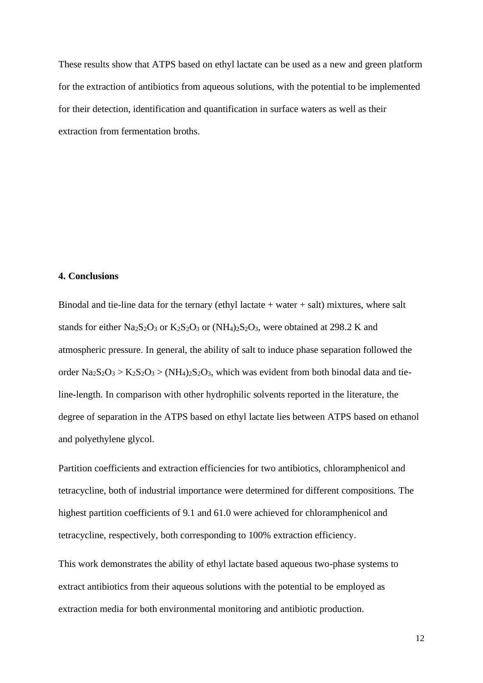These results show that ATPS based on ethyl lactate can be used as a new and green platform for the extraction of antibiotics from aqueous solutions, with the potential to be implemented for their detection, identification and quantification in surface waters as well as their extraction from fermentation broths.

# **4. Conclusions**

Binodal and tie-line data for the ternary (ethyl lactate  $+$  water  $+$  salt) mixtures, where salt stands for either Na<sub>2</sub>S<sub>2</sub>O<sub>3</sub> or K<sub>2</sub>S<sub>2</sub>O<sub>3</sub> or (NH<sub>4</sub>)<sub>2</sub>S<sub>2</sub>O<sub>3</sub>, were obtained at 298.2 K and atmospheric pressure. In general, the ability of salt to induce phase separation followed the order  $\text{Na}_2\text{S}_2\text{O}_3$  >  $\text{K}_2\text{S}_2\text{O}_3$  >  $(\text{NH}_4)_2\text{S}_2\text{O}_3$ , which was evident from both binodal data and tieline-length. In comparison with other hydrophilic solvents reported in the literature, the degree of separation in the ATPS based on ethyl lactate lies between ATPS based on ethanol and polyethylene glycol.

Partition coefficients and extraction efficiencies for two antibiotics, chloramphenicol and tetracycline, both of industrial importance were determined for different compositions. The highest partition coefficients of 9.1 and 61.0 were achieved for chloramphenicol and tetracycline, respectively, both corresponding to 100% extraction efficiency.

This work demonstrates the ability of ethyl lactate based aqueous two-phase systems to extract antibiotics from their aqueous solutions with the potential to be employed as extraction media for both environmental monitoring and antibiotic production.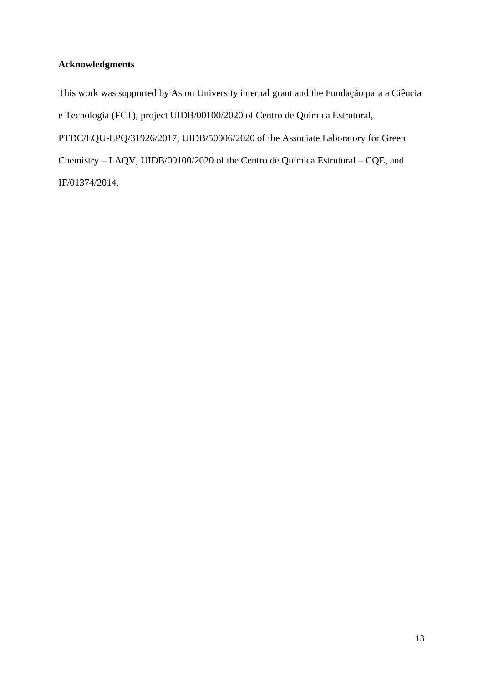# **Acknowledgments**

This work was supported by Aston University internal grant and the Fundação para a Ciência e Tecnologia (FCT), project UIDB/00100/2020 of Centro de Química Estrutural, PTDC/EQU-EPQ/31926/2017, UIDB/50006/2020 of the Associate Laboratory for Green Chemistry – LAQV, UIDB/00100/2020 of the Centro de Química Estrutural – CQE, and IF/01374/2014.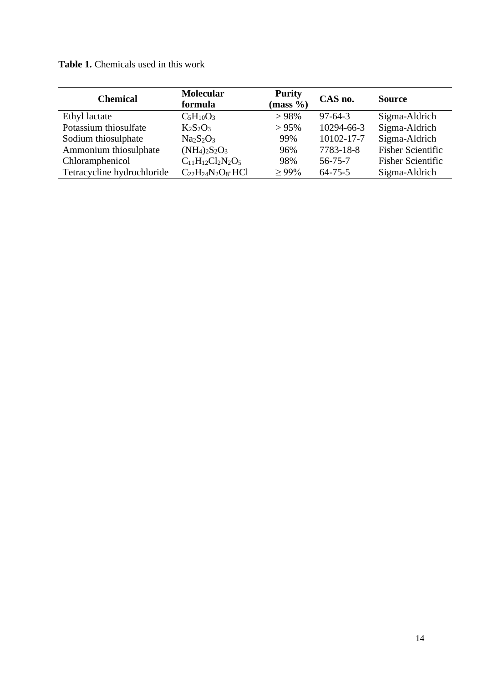**Table 1.** Chemicals used in this work

| <b>Chemical</b>            | <b>Molecular</b><br>formula    | <b>Purity</b><br>$(mass \%)$ | CAS no.       | <b>Source</b>            |  |
|----------------------------|--------------------------------|------------------------------|---------------|--------------------------|--|
| Ethyl lactate              | $C_5H_{10}O_3$                 | >98%                         | $97-64-3$     | Sigma-Aldrich            |  |
| Potassium thiosulfate      | $K_2S_2O_3$                    | $> 95\%$                     | 10294-66-3    | Sigma-Aldrich            |  |
| Sodium thiosulphate        | $Na2S2O3$                      | 99%                          | 10102-17-7    | Sigma-Aldrich            |  |
| Ammonium thiosulphate      | $(NH_4)_2S_2O_3$               | 96%                          | 7783-18-8     | <b>Fisher Scientific</b> |  |
| Chloramphenicol            | $C_{11}H_{12}Cl_2N_2O_5$       | 98%                          | $56 - 75 - 7$ | <b>Fisher Scientific</b> |  |
| Tetracycline hydrochloride | $C_{22}H_{24}N_2O_8 \cdot HCl$ | $> 99\%$                     | $64 - 75 - 5$ | Sigma-Aldrich            |  |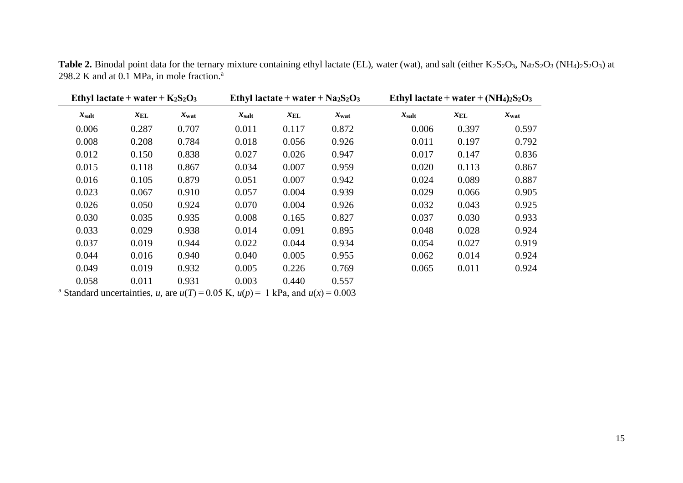| Ethyl lactate + water + $K_2S_2O_3$ |                 |                  |                   | Ethyl lactate + water + $Na2S2O3$ |                  | Ethyl lactate + water + $(NH_4)_2S_2O_3$ |                 |                  |  |
|-------------------------------------|-----------------|------------------|-------------------|-----------------------------------|------------------|------------------------------------------|-----------------|------------------|--|
| $x_{\text{salt}}$                   | $x_{\text{EL}}$ | $x_{\text{wat}}$ | $x_{\text{salt}}$ | $x_{\text{EL}}$                   | $x_{\text{wat}}$ | $x_{\text{salt}}$                        | $x_{\text{EL}}$ | $x_{\text{wat}}$ |  |
| 0.006                               | 0.287           | 0.707            | 0.011             | 0.117                             | 0.872            | 0.006                                    | 0.397           | 0.597            |  |
| 0.008                               | 0.208           | 0.784            | 0.018             | 0.056                             | 0.926            | 0.011                                    | 0.197           | 0.792            |  |
| 0.012                               | 0.150           | 0.838            | 0.027             | 0.026                             | 0.947            | 0.017                                    | 0.147           | 0.836            |  |
| 0.015                               | 0.118           | 0.867            | 0.034             | 0.007                             | 0.959            | 0.020                                    | 0.113           | 0.867            |  |
| 0.016                               | 0.105           | 0.879            | 0.051             | 0.007                             | 0.942            | 0.024                                    | 0.089           | 0.887            |  |
| 0.023                               | 0.067           | 0.910            | 0.057             | 0.004                             | 0.939            | 0.029                                    | 0.066           | 0.905            |  |
| 0.026                               | 0.050           | 0.924            | 0.070             | 0.004                             | 0.926            | 0.032                                    | 0.043           | 0.925            |  |
| 0.030                               | 0.035           | 0.935            | 0.008             | 0.165                             | 0.827            | 0.037                                    | 0.030           | 0.933            |  |
| 0.033                               | 0.029           | 0.938            | 0.014             | 0.091                             | 0.895            | 0.048                                    | 0.028           | 0.924            |  |
| 0.037                               | 0.019           | 0.944            | 0.022             | 0.044                             | 0.934            | 0.054                                    | 0.027           | 0.919            |  |
| 0.044                               | 0.016           | 0.940            | 0.040             | 0.005                             | 0.955            | 0.062                                    | 0.014           | 0.924            |  |
| 0.049                               | 0.019           | 0.932            | 0.005             | 0.226                             | 0.769            | 0.065                                    | 0.011           | 0.924            |  |
| 0.058                               | 0.011           | 0.931            | 0.003             | 0.440                             | 0.557            |                                          |                 |                  |  |

Table 2. Binodal point data for the ternary mixture containing ethyl lactate (EL), water (wat), and salt (either K<sub>2</sub>S<sub>2</sub>O<sub>3</sub>, Na<sub>2</sub>S<sub>2</sub>O<sub>3</sub> (NH<sub>4</sub>)<sub>2</sub>S<sub>2</sub>O<sub>3</sub>) at 298.2 K and at  $0.1$  MPa, in mole fraction.<sup>a</sup>

<sup>a</sup> Standard uncertainties, *u*, are  $u(T) = 0.05$  K,  $u(p) = 1$  kPa, and  $u(x) = 0.003$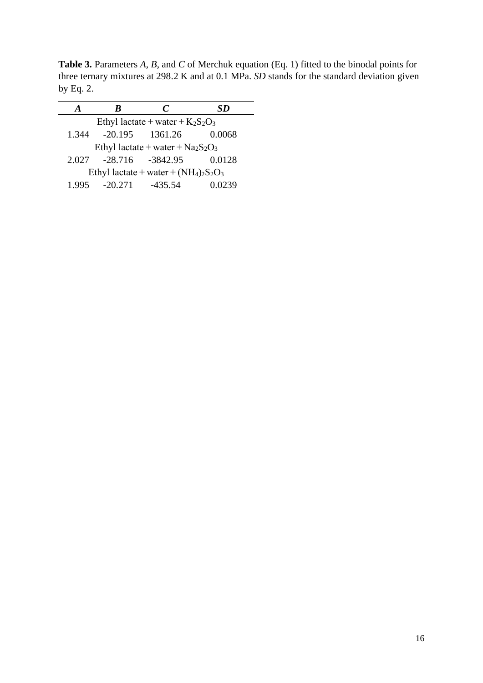**Table 3.** Parameters *A*, *B*, and *C* of Merchuk equation (Eq. 1) fitted to the binodal points for three ternary mixtures at 298.2 K and at 0.1 MPa. *SD* stands for the standard deviation given by Eq. 2.

| ĸ                                        | $\mathcal{C}$ | SD                                                                     |  |  |  |  |  |  |
|------------------------------------------|---------------|------------------------------------------------------------------------|--|--|--|--|--|--|
| Ethyl lactate + water + $K_2S_2O_3$      |               |                                                                        |  |  |  |  |  |  |
|                                          |               | 0.0068                                                                 |  |  |  |  |  |  |
| Ethyl lactate + water + $Na2S2O3$        |               |                                                                        |  |  |  |  |  |  |
|                                          |               | 0.0128                                                                 |  |  |  |  |  |  |
| Ethyl lactate + water + $(NH_4)_2S_2O_3$ |               |                                                                        |  |  |  |  |  |  |
|                                          |               | 0.0239                                                                 |  |  |  |  |  |  |
|                                          |               | $-20.195$ $1361.26$<br>2.027 -28.716 -3842.95<br>1.995 -20.271 -435.54 |  |  |  |  |  |  |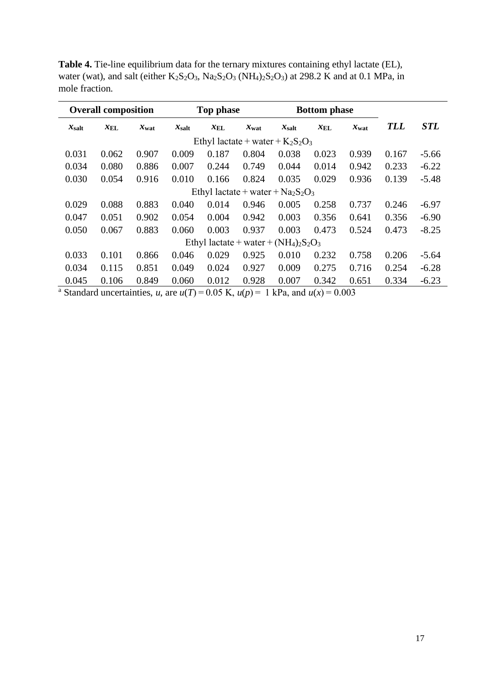| <b>Overall composition</b>               |                 | Top phase        |                   |                 | <b>Bottom</b> phase |                   |                 |                  |            |            |
|------------------------------------------|-----------------|------------------|-------------------|-----------------|---------------------|-------------------|-----------------|------------------|------------|------------|
| $x_{\text{salt}}$                        | $x_{\text{EL}}$ | $x_{\text{wat}}$ | $x_{\text{salt}}$ | $x_{\text{EL}}$ | $x_{\text{wat}}$    | $x_{\text{salt}}$ | $x_{\text{EL}}$ | $x_{\text{wat}}$ | <b>TLL</b> | <b>STL</b> |
| Ethyl lactate + water + $K_2S_2O_3$      |                 |                  |                   |                 |                     |                   |                 |                  |            |            |
| 0.031                                    | 0.062           | 0.907            | 0.009             | 0.187           | 0.804               | 0.038             | 0.023           | 0.939            | 0.167      | $-5.66$    |
| 0.034                                    | 0.080           | 0.886            | 0.007             | 0.244           | 0.749               | 0.044             | 0.014           | 0.942            | 0.233      | $-6.22$    |
| 0.030                                    | 0.054           | 0.916            | 0.010             | 0.166           | 0.824               | 0.035             | 0.029           | 0.936            | 0.139      | $-5.48$    |
| Ethyl lactate + water + $Na2S2O3$        |                 |                  |                   |                 |                     |                   |                 |                  |            |            |
| 0.029                                    | 0.088           | 0.883            | 0.040             | 0.014           | 0.946               | 0.005             | 0.258           | 0.737            | 0.246      | $-6.97$    |
| 0.047                                    | 0.051           | 0.902            | 0.054             | 0.004           | 0.942               | 0.003             | 0.356           | 0.641            | 0.356      | $-6.90$    |
| 0.050                                    | 0.067           | 0.883            | 0.060             | 0.003           | 0.937               | 0.003             | 0.473           | 0.524            | 0.473      | $-8.25$    |
| Ethyl lactate + water + $(NH_4)_2S_2O_3$ |                 |                  |                   |                 |                     |                   |                 |                  |            |            |
| 0.033                                    | 0.101           | 0.866            | 0.046             | 0.029           | 0.925               | 0.010             | 0.232           | 0.758            | 0.206      | $-5.64$    |
| 0.034                                    | 0.115           | 0.851            | 0.049             | 0.024           | 0.927               | 0.009             | 0.275           | 0.716            | 0.254      | $-6.28$    |
| 0.045                                    | 0.106           | 0.849            | 0.060             | 0.012           | 0.928               | 0.007             | 0.342           | 0.651            | 0.334      | $-6.23$    |

**Table 4.** Tie-line equilibrium data for the ternary mixtures containing ethyl lactate (EL), water (wat), and salt (either  $K_2S_2O_3$ ,  $Na_2S_2O_3$  (NH<sub>4</sub>)<sub>2</sub>S<sub>2</sub>O<sub>3</sub>) at 298.2 K and at 0.1 MPa, in mole fraction.

<sup>a</sup> Standard uncertainties, *u*, are  $u(T) = 0.05$  K,  $u(p) = 1$  kPa, and  $u(x) = 0.003$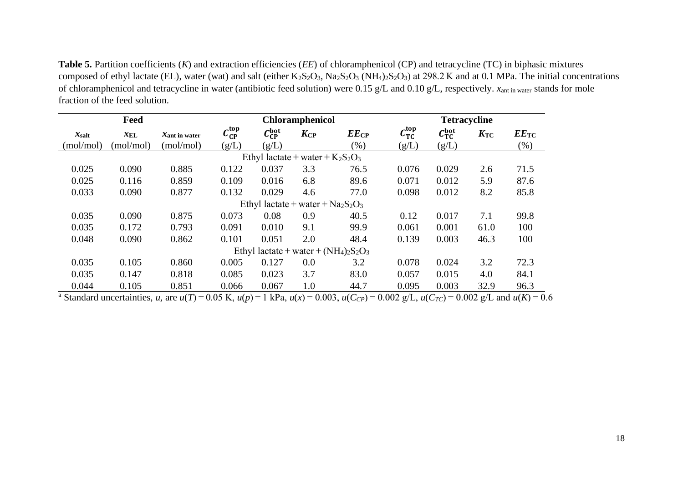**Table 5.** Partition coefficients (*K*) and extraction efficiencies (*EE*) of chloramphenicol (CP) and tetracycline (TC) in biphasic mixtures composed of ethyl lactate (EL), water (wat) and salt (either  $K_2S_2O_3$ ,  $Na_2S_2O_3$  (NH<sub>4</sub>)<sub>2</sub>S<sub>2</sub>O<sub>3</sub>) at 298.2 K and at 0.1 MPa. The initial concentrations of chloramphenicol and tetracycline in water (antibiotic feed solution) were 0.15 g/L and 0.10 g/L, respectively. *x*ant in water stands for mole fraction of the feed solution.

|                                          | Feed            | Chloramphenicol           |                                        |                                   |              | <b>Tetracycline</b> |                |                              |              |                    |
|------------------------------------------|-----------------|---------------------------|----------------------------------------|-----------------------------------|--------------|---------------------|----------------|------------------------------|--------------|--------------------|
| $x_{\text{salt}}$                        | $x_{\text{EL}}$ | $x_{\text{ant in water}}$ | $\mathcal{C}_{\text{CP}}^{\text{top}}$ | $C_{CP}^{bot}$                    | $K_{\rm CP}$ | $EE_{CP}$           | $C_{TC}^{top}$ | $C_{\text{TC}}^{\text{bot}}$ | $K_{\rm TC}$ | $EE$ <sub>TC</sub> |
| (mol/mol)                                | (mol/mol)       | (mol/mol)                 | (g/L)                                  | (g/L)                             |              | $(\% )$             | (g/L)          | (g/L)                        |              | $(\%)$             |
| Ethyl lactate + water + $K_2S_2O_3$      |                 |                           |                                        |                                   |              |                     |                |                              |              |                    |
| 0.025                                    | 0.090           | 0.885                     | 0.122                                  | 0.037                             | 3.3          | 76.5                | 0.076          | 0.029                        | 2.6          | 71.5               |
| 0.025                                    | 0.116           | 0.859                     | 0.109                                  | 0.016                             | 6.8          | 89.6                | 0.071          | 0.012                        | 5.9          | 87.6               |
| 0.033                                    | 0.090           | 0.877                     | 0.132                                  | 0.029                             | 4.6          | 77.0                | 0.098          | 0.012                        | 8.2          | 85.8               |
|                                          |                 |                           |                                        | Ethyl lactate + water + $Na2S2O3$ |              |                     |                |                              |              |                    |
| 0.035                                    | 0.090           | 0.875                     | 0.073                                  | 0.08                              | 0.9          | 40.5                | 0.12           | 0.017                        | 7.1          | 99.8               |
| 0.035                                    | 0.172           | 0.793                     | 0.091                                  | 0.010                             | 9.1          | 99.9                | 0.061          | 0.001                        | 61.0         | 100                |
| 0.048                                    | 0.090           | 0.862                     | 0.101                                  | 0.051                             | 2.0          | 48.4                | 0.139          | 0.003                        | 46.3         | 100                |
| Ethyl lactate + water + $(NH_4)_2S_2O_3$ |                 |                           |                                        |                                   |              |                     |                |                              |              |                    |
| 0.035                                    | 0.105           | 0.860                     | 0.005                                  | 0.127                             | 0.0          | 3.2                 | 0.078          | 0.024                        | 3.2          | 72.3               |
| 0.035                                    | 0.147           | 0.818                     | 0.085                                  | 0.023                             | 3.7          | 83.0                | 0.057          | 0.015                        | 4.0          | 84.1               |
| 0.044                                    | 0.105           | 0.851                     | 0.066                                  | 0.067                             | 1.0          | 44.7                | 0.095          | 0.003                        | 32.9         | 96.3               |

<sup>a</sup> Standard uncertainties, u, are  $u(T) = 0.05$  K,  $u(p) = 1$  kPa,  $u(x) = 0.003$ ,  $u(C_{CP}) = 0.002$  g/L,  $u(C_{TC}) = 0.002$  g/L and  $u(K) = 0.6$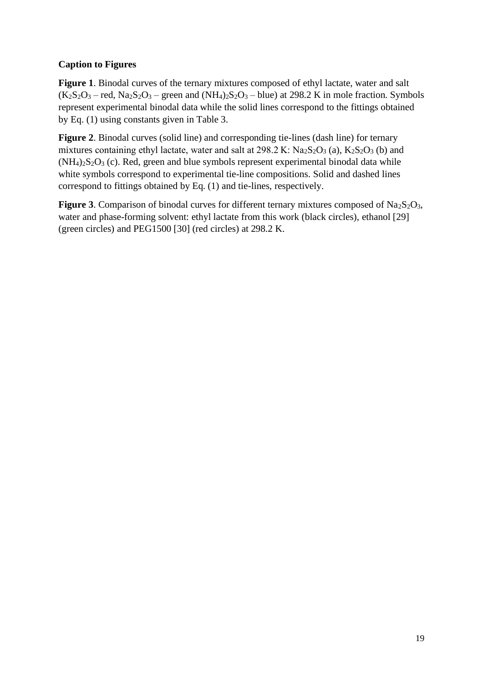# **Caption to Figures**

**Figure 1**. Binodal curves of the ternary mixtures composed of ethyl lactate, water and salt  $(K_2S_2O_3 - \text{red}, N_{2S_2O_3 - \text{green}})$  and  $(N_{42}S_2O_3 - \text{blue})$  at 298.2 K in mole fraction. Symbols represent experimental binodal data while the solid lines correspond to the fittings obtained by Eq. (1) using constants given in Table 3.

**Figure 2**. Binodal curves (solid line) and corresponding tie-lines (dash line) for ternary mixtures containing ethyl lactate, water and salt at  $298.2 \text{ K}$ : Na<sub>2</sub>S<sub>2</sub>O<sub>3</sub> (a), K<sub>2</sub>S<sub>2</sub>O<sub>3</sub> (b) and  $(NH<sub>4</sub>)<sub>2</sub>S<sub>2</sub>O<sub>3</sub>$  (c). Red, green and blue symbols represent experimental binodal data while white symbols correspond to experimental tie-line compositions. Solid and dashed lines correspond to fittings obtained by Eq. (1) and tie-lines, respectively.

**Figure 3**. Comparison of binodal curves for different ternary mixtures composed of  $Na<sub>2</sub>S<sub>2</sub>O<sub>3</sub>$ , water and phase-forming solvent: ethyl lactate from this work (black circles), ethanol [\[29\]](#page-9-0) (green circles) and PEG1500 [\[30\]](#page-9-1) (red circles) at 298.2 K.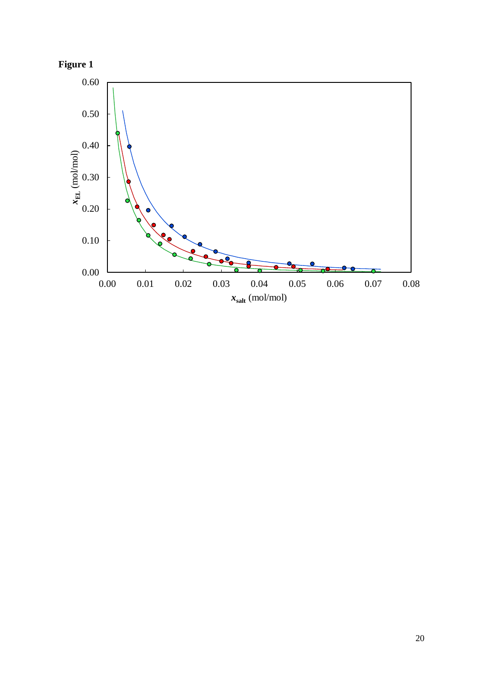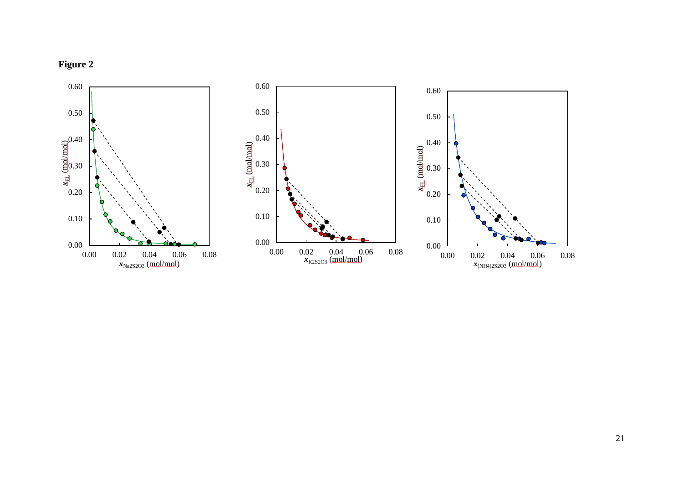

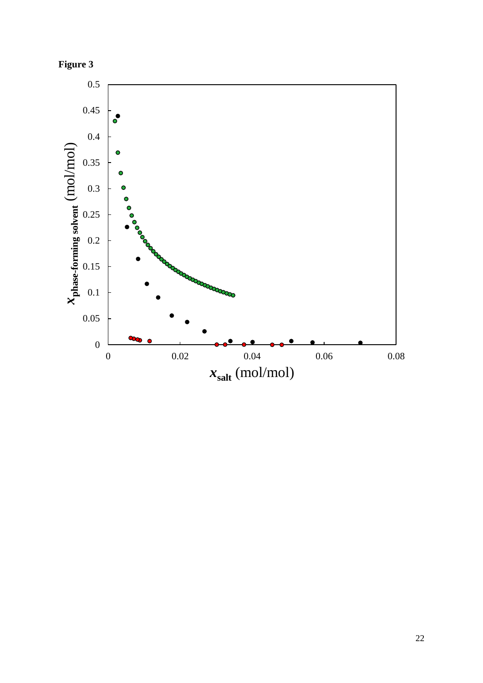

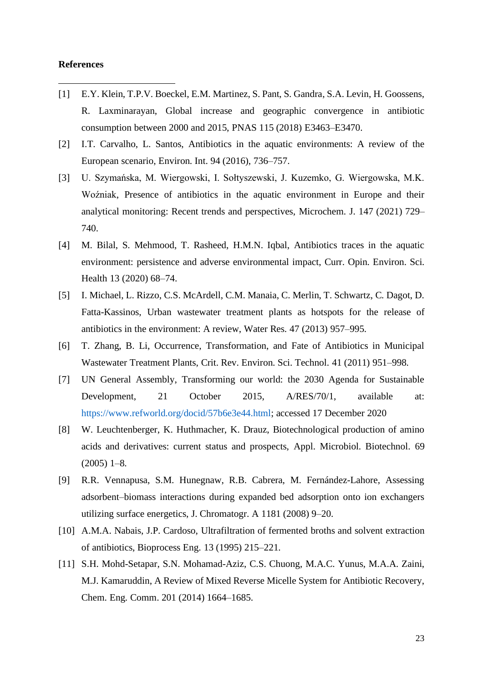#### **References**

- [1] E.Y. Klein, T.P.V. Boeckel, E.M. Martinez, S. Pant, S. Gandra, S.A. Levin, H. Goossens, R. Laxminarayan, Global increase and geographic convergence in antibiotic consumption between 2000 and 2015, PNAS 115 (2018) E3463–E3470.
- [2] I.T. Carvalho, L. Santos, Antibiotics in the aquatic environments: A review of the European scenario, Environ. Int. 94 (2016), 736–757.
- [3] U. Szymańska, M. Wiergowski, I. Sołtyszewski, J. Kuzemko, G. Wiergowska, M.K. Woźniak, Presence of antibiotics in the aquatic environment in Europe and their analytical monitoring: Recent trends and perspectives, Microchem. J. 147 (2021) 729– 740.
- [4] M. Bilal, S. Mehmood, T. Rasheed, H.M.N. Iqbal, Antibiotics traces in the aquatic environment: persistence and adverse environmental impact, Curr. Opin. Environ. Sci. Health 13 (2020) 68–74.
- [5] I. Michael, L. Rizzo, C.S. McArdell, C.M. Manaia, C. Merlin, T. Schwartz, C. Dagot, D. Fatta-Kassinos, Urban wastewater treatment plants as hotspots for the release of antibiotics in the environment: A review, Water Res. 47 (2013) 957–995.
- [6] T. Zhang, B. Li, Occurrence, Transformation, and Fate of Antibiotics in Municipal Wastewater Treatment Plants, Crit. Rev. Environ. Sci. Technol. 41 (2011) 951–998.
- [7] UN General Assembly, Transforming our world: the 2030 Agenda for Sustainable Development, 21 October 2015, A/RES/70/1, available at: [https://www.refworld.org/docid/57b6e3e44.html;](https://www.refworld.org/docid/57b6e3e44.html) accessed 17 December 2020
- [8] W. Leuchtenberger, K. Huthmacher, K. Drauz, Biotechnological production of amino acids and derivatives: current status and prospects, Appl. Microbiol. Biotechnol. 69  $(2005)$  1–8.
- [9] R.R. Vennapusa, S.M. Hunegnaw, R.B. Cabrera, M. Fernández-Lahore, Assessing adsorbent–biomass interactions during expanded bed adsorption onto ion exchangers utilizing surface energetics, J. Chromatogr. A 1181 (2008) 9–20.
- [10] A.M.A. Nabais, J.P. Cardoso, Ultrafiltration of fermented broths and solvent extraction of antibiotics, Bioprocess Eng. 13 (1995) 215–221.
- [11] S.H. Mohd-Setapar, S.N. Mohamad-Aziz, C.S. Chuong, M.A.C. Yunus, M.A.A. Zaini, M.J. Kamaruddin, A Review of Mixed Reverse Micelle System for Antibiotic Recovery, Chem. Eng. Comm. 201 (2014) 1664–1685.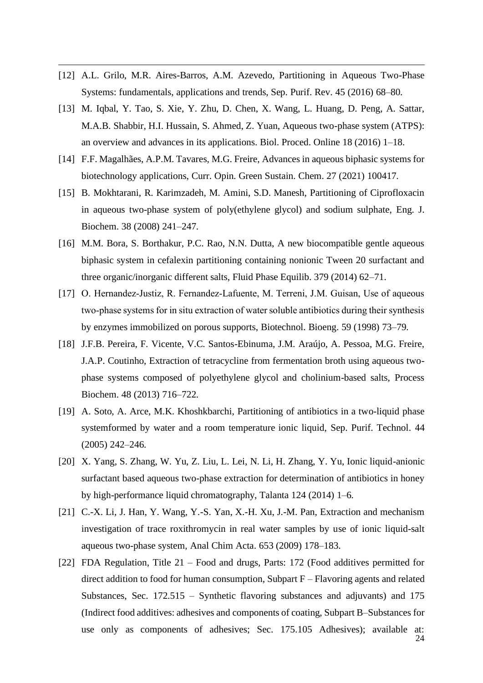- [12] A.L. Grilo, M.R. Aires-Barros, A.M. Azevedo, Partitioning in Aqueous Two-Phase Systems: fundamentals, applications and trends, Sep. Purif. Rev. 45 (2016) 68–80.
- [13] M. Iqbal, Y. Tao, S. Xie, Y. Zhu, D. Chen, X. Wang, L. Huang, D. Peng, A. Sattar, M.A.B. Shabbir, H.I. Hussain, S. Ahmed, Z. Yuan, Aqueous two-phase system (ATPS): an overview and advances in its applications. Biol. Proced. Online 18 (2016) 1–18.
- [14] F.F. Magalhães, A.P.M. Tavares, M.G. Freire, Advances in aqueous biphasic systems for biotechnology applications, Curr. Opin. Green Sustain. Chem. 27 (2021) 100417.
- [15] B. Mokhtarani, R. Karimzadeh, M. Amini, S.D. Manesh, Partitioning of Ciprofloxacin in aqueous two-phase system of poly(ethylene glycol) and sodium sulphate, Eng. J. Biochem. 38 (2008) 241–247.
- [16] M.M. Bora, S. Borthakur, P.C. Rao, N.N. Dutta, A new biocompatible gentle aqueous biphasic system in cefalexin partitioning containing nonionic Tween 20 surfactant and three organic/inorganic different salts, Fluid Phase Equilib. 379 (2014) 62–71.
- [17] O. Hernandez-Justiz, R. Fernandez-Lafuente, M. Terreni, J.M. Guisan, Use of aqueous two‐phase systems for in situ extraction of water soluble antibiotics during their synthesis by enzymes immobilized on porous supports, Biotechnol. Bioeng. 59 (1998) 73–79.
- [18] J.F.B. Pereira, F. Vicente, V.C. Santos-Ebinuma, J.M. Araújo, A. Pessoa, M.G. Freire, J.A.P. Coutinho, Extraction of tetracycline from fermentation broth using aqueous twophase systems composed of polyethylene glycol and cholinium-based salts, Process Biochem. 48 (2013) 716–722.
- [19] A. Soto, A. Arce, M.K. Khoshkbarchi, Partitioning of antibiotics in a two-liquid phase systemformed by water and a room temperature ionic liquid, Sep. Purif. Technol. 44 (2005) 242–246.
- [20] X. Yang, S. Zhang, W. Yu, Z. Liu, L. Lei, N. Li, H. Zhang, Y. Yu, Ionic liquid-anionic surfactant based aqueous two-phase extraction for determination of antibiotics in honey by high-performance liquid chromatography, Talanta 124 (2014) 1–6.
- [21] C.-X. Li, J. Han, Y. Wang, Y.-S. Yan, X.-H. Xu, J.-M. Pan, Extraction and mechanism investigation of trace roxithromycin in real water samples by use of ionic liquid-salt aqueous two-phase system, Anal Chim Acta. 653 (2009) 178–183.
- [22] FDA Regulation, Title 21 Food and drugs, Parts: 172 (Food additives permitted for direct addition to food for human consumption, Subpart F – Flavoring agents and related Substances, Sec. 172.515 – Synthetic flavoring substances and adjuvants) and 175 (Indirect food additives: adhesives and components of coating, Subpart B–Substances for use only as components of adhesives; Sec. 175.105 Adhesives); available at: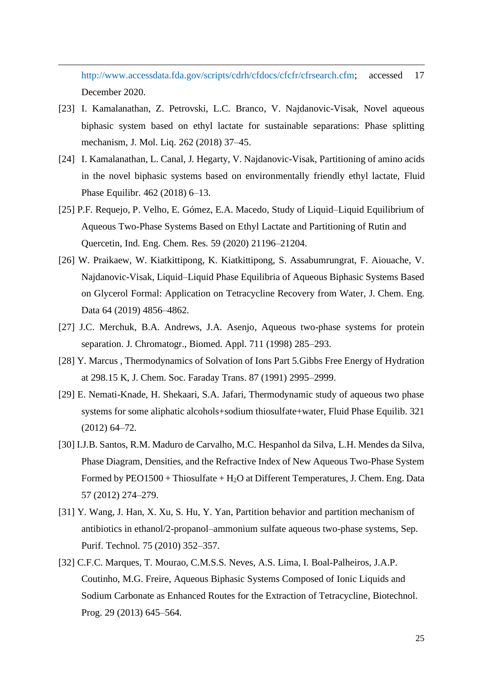[http://www.accessdata.fda.gov/scripts/cdrh/cfdocs/cfcfr/cfrsearch.cfm;](http://www.accessdata.fda.gov/scripts/cdrh/cfdocs/cfcfr/cfrsearch.cfm) accessed 17 December 2020.

- [23] I. Kamalanathan, Z. Petrovski, L.C. Branco, V. Najdanovic-Visak, Novel aqueous biphasic system based on ethyl lactate for sustainable separations: Phase splitting mechanism, J. Mol. Liq. 262 (2018) 37–45.
- [24] I. Kamalanathan, L. Canal, J. Hegarty, V. Najdanovic-Visak, Partitioning of amino acids in the novel biphasic systems based on environmentally friendly ethyl lactate, Fluid Phase Equilibr. 462 (2018) 6–13.
- [25] P.F. Requejo, P. Velho, E. Gómez, E.A. Macedo, Study of Liquid–Liquid Equilibrium of Aqueous Two-Phase Systems Based on Ethyl Lactate and Partitioning of Rutin and Quercetin, Ind. Eng. Chem. Res. 59 (2020) 21196–21204.
- [26] W. Praikaew, W. Kiatkittipong, K. Kiatkittipong, S. Assabumrungrat, F. Aiouache, V. Najdanovic-Visak, Liquid–Liquid Phase Equilibria of Aqueous Biphasic Systems Based on Glycerol Formal: Application on Tetracycline Recovery from Water, J. Chem. Eng. Data 64 (2019) 4856–4862.
- [27] J.C. Merchuk, B.A. Andrews, J.A. Asenjo, Aqueous two-phase systems for protein separation. J. Chromatogr., Biomed. Appl. 711 (1998) 285–293.
- [28] Y. Marcus , Thermodynamics of Solvation of Ions Part 5.Gibbs Free Energy of Hydration at 298.15 K, J. Chem. Soc. Faraday Trans. 87 (1991) 2995–2999.
- [29] E. Nemati-Knade, H. Shekaari, S.A. Jafari, Thermodynamic study of aqueous two phase systems for some aliphatic alcohols+sodium thiosulfate+water, Fluid Phase Equilib. 321 (2012) 64–72.
- [30] I.J.B. Santos, R.M. Maduro de Carvalho, M.C. Hespanhol da Silva, L.H. Mendes da Silva, Phase Diagram, Densities, and the Refractive Index of New Aqueous Two-Phase System Formed by  $PEO1500 + Thiosulfate + H<sub>2</sub>O$  at Different Temperatures, J. Chem. Eng. Data 57 (2012) 274–279.
- [31] Y. Wang, J. Han, X. Xu, S. Hu, Y. Yan, Partition behavior and partition mechanism of antibiotics in ethanol/2-propanol–ammonium sulfate aqueous two-phase systems, Sep. Purif. Technol. 75 (2010) 352–357.
- [32] C.F.C. Marques, T. Mourao, C.M.S.S. Neves, A.S. Lima, I. Boal-Palheiros, J.A.P. Coutinho, M.G. Freire, Aqueous Biphasic Systems Composed of Ionic Liquids and Sodium Carbonate as Enhanced Routes for the Extraction of Tetracycline, Biotechnol. Prog. 29 (2013) 645–564.